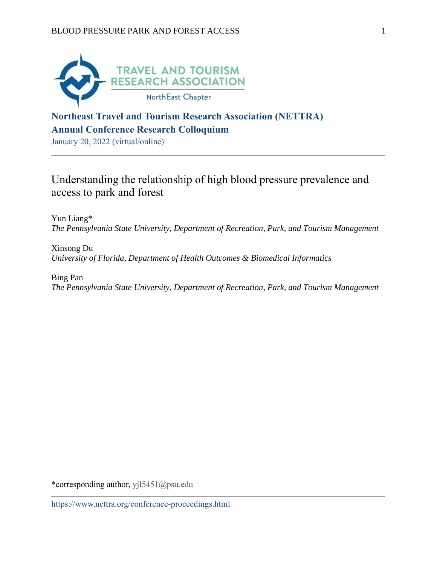

# **Northeast Travel and Tourism Research Association (NETTRA) Annual Conference Research Colloquium**

January 20, 2022 (virtual/online)

# Understanding the relationship of high blood pressure prevalence and access to park and forest

Yun Liang\* *The Pennsylvania State University, Department of Recreation, Park, and Tourism Management*

Xinsong Du *University of Florida, Department of Health Outcomes & Biomedical Informatics*

Bing Pan *The Pennsylvania State University, Department of Recreation, Park, and Tourism Management*

\*corresponding author, yjl5451@psu.edu

https://www.nettra.org/conference-proceedings.html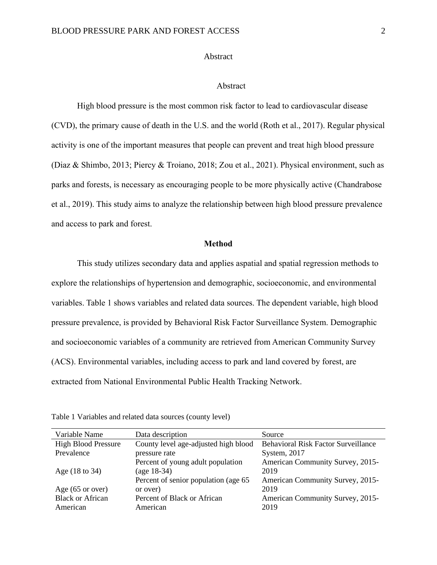## Abstract

### Abstract

High blood pressure is the most common risk factor to lead to cardiovascular disease (CVD), the primary cause of death in the U.S. and the world (Roth et al., 2017). Regular physical activity is one of the important measures that people can prevent and treat high blood pressure (Diaz & Shimbo, 2013; Piercy & Troiano, 2018; Zou et al., 2021). Physical environment, such as parks and forests, is necessary as encouraging people to be more physically active (Chandrabose et al., 2019). This study aims to analyze the relationship between high blood pressure prevalence and access to park and forest.

## **Method**

This study utilizes secondary data and applies aspatial and spatial regression methods to explore the relationships of hypertension and demographic, socioeconomic, and environmental variables. Table 1 shows variables and related data sources. The dependent variable, high blood pressure prevalence, is provided by Behavioral Risk Factor Surveillance System. Demographic and socioeconomic variables of a community are retrieved from American Community Survey (ACS). Environmental variables, including access to park and land covered by forest, are extracted from National Environmental Public Health Tracking Network.

| Variable Name              | Data description                      | Source                                     |
|----------------------------|---------------------------------------|--------------------------------------------|
| <b>High Blood Pressure</b> | County level age-adjusted high blood  | <b>Behavioral Risk Factor Surveillance</b> |
| Prevalence                 | pressure rate                         | System, 2017                               |
|                            | Percent of young adult population     | American Community Survey, 2015-           |
| Age (18 to 34)             | $(age 18-34)$                         | 2019                                       |
|                            | Percent of senior population (age 65) | American Community Survey, 2015-           |
| Age $(65 \text{ or over})$ | or over)                              | 2019                                       |
| <b>Black or African</b>    | Percent of Black or African           | American Community Survey, 2015-           |
| American                   | American                              | 2019                                       |

Table 1 Variables and related data sources (county level)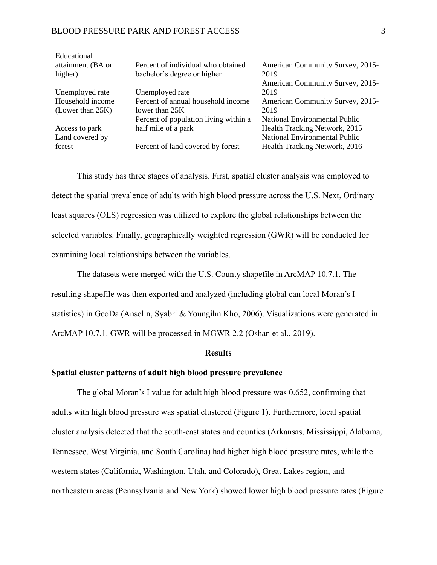#### BLOOD PRESSURE PARK AND FOREST ACCESS 3

| Educational         |                                       |                                      |  |
|---------------------|---------------------------------------|--------------------------------------|--|
| attainment (BA or   | Percent of individual who obtained    | American Community Survey, 2015-     |  |
| higher)             | bachelor's degree or higher           | 2019                                 |  |
|                     |                                       | American Community Survey, 2015-     |  |
| Unemployed rate     | Unemployed rate                       | 2019                                 |  |
| Household income    | Percent of annual household income    | American Community Survey, 2015-     |  |
| (Lower than $25K$ ) | lower than $25K$                      | 2019                                 |  |
|                     | Percent of population living within a | National Environmental Public        |  |
| Access to park      | half mile of a park                   | Health Tracking Network, 2015        |  |
| Land covered by     |                                       | <b>National Environmental Public</b> |  |
| forest              | Percent of land covered by forest     | Health Tracking Network, 2016        |  |

This study has three stages of analysis. First, spatial cluster analysis was employed to detect the spatial prevalence of adults with high blood pressure across the U.S. Next, Ordinary least squares (OLS) regression was utilized to explore the global relationships between the selected variables. Finally, geographically weighted regression (GWR) will be conducted for examining local relationships between the variables.

The datasets were merged with the U.S. County shapefile in ArcMAP 10.7.1. The resulting shapefile was then exported and analyzed (including global can local Moran's I statistics) in GeoDa (Anselin, Syabri & Youngihn Kho, 2006). Visualizations were generated in ArcMAP 10.7.1. GWR will be processed in MGWR 2.2 (Oshan et al., 2019).

### **Results**

# **Spatial cluster patterns of adult high blood pressure prevalence**

The global Moran's I value for adult high blood pressure was 0.652, confirming that adults with high blood pressure was spatial clustered (Figure 1). Furthermore, local spatial cluster analysis detected that the south-east states and counties (Arkansas, Mississippi, Alabama, Tennessee, West Virginia, and South Carolina) had higher high blood pressure rates, while the western states (California, Washington, Utah, and Colorado), Great Lakes region, and northeastern areas (Pennsylvania and New York) showed lower high blood pressure rates (Figure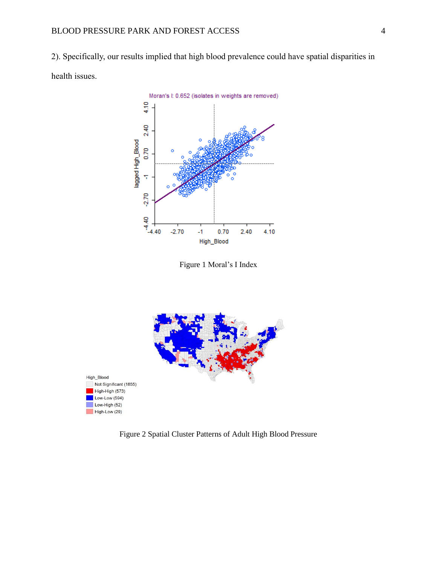2). Specifically, our results implied that high blood prevalence could have spatial disparities in health issues.



Figure 1 Moral's I Index



Figure 2 Spatial Cluster Patterns of Adult High Blood Pressure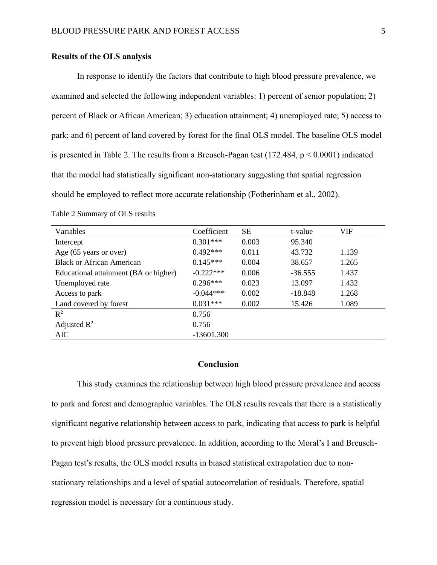## **Results of the OLS analysis**

In response to identify the factors that contribute to high blood pressure prevalence, we examined and selected the following independent variables: 1) percent of senior population; 2) percent of Black or African American; 3) education attainment; 4) unemployed rate; 5) access to park; and 6) percent of land covered by forest for the final OLS model. The baseline OLS model is presented in Table 2. The results from a Breusch-Pagan test  $(172.484, p < 0.0001)$  indicated that the model had statistically significant non-stationary suggesting that spatial regression should be employed to reflect more accurate relationship (Fotherinham et al., 2002).

| Variables                             | Coefficient  | <b>SE</b> | t-value   | <b>VIF</b> |
|---------------------------------------|--------------|-----------|-----------|------------|
| Intercept                             | $0.301***$   | 0.003     | 95.340    |            |
| Age (65 years or over)                | $0.492***$   | 0.011     | 43.732    | 1.139      |
| <b>Black or African American</b>      | $0.145***$   | 0.004     | 38.657    | 1.265      |
| Educational attainment (BA or higher) | $-0.222***$  | 0.006     | $-36.555$ | 1.437      |
| Unemployed rate                       | $0.296***$   | 0.023     | 13.097    | 1.432      |
| Access to park                        | $-0.044***$  | 0.002     | $-18.848$ | 1.268      |
| Land covered by forest                | $0.031***$   | 0.002     | 15.426    | 1.089      |
| $R^2$                                 | 0.756        |           |           |            |
| Adjusted $\mathbb{R}^2$               | 0.756        |           |           |            |
| <b>AIC</b>                            | $-13601.300$ |           |           |            |

Table 2 Summary of OLS results

#### **Conclusion**

This study examines the relationship between high blood pressure prevalence and access to park and forest and demographic variables. The OLS results reveals that there is a statistically significant negative relationship between access to park, indicating that access to park is helpful to prevent high blood pressure prevalence. In addition, according to the Moral's I and Breusch-Pagan test's results, the OLS model results in biased statistical extrapolation due to nonstationary relationships and a level of spatial autocorrelation of residuals. Therefore, spatial regression model is necessary for a continuous study.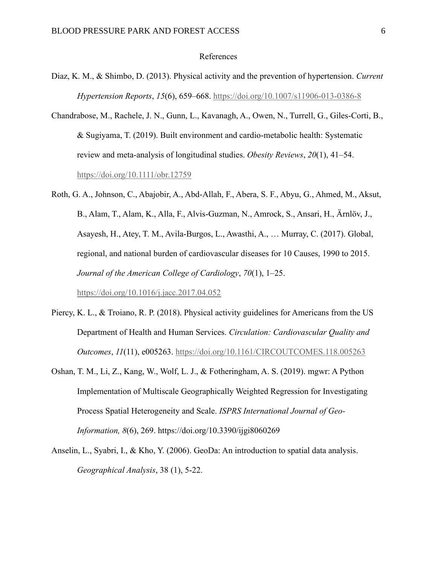#### References

- Diaz, K. M., & Shimbo, D. (2013). Physical activity and the prevention of hypertension. *Current Hypertension Reports*, *15*(6), 659–668.<https://doi.org/10.1007/s11906-013-0386-8>
- Chandrabose, M., Rachele, J. N., Gunn, L., Kavanagh, A., Owen, N., Turrell, G., Giles-Corti, B., & Sugiyama, T. (2019). Built environment and cardio-metabolic health: Systematic review and meta-analysis of longitudinal studies. *Obesity Reviews*, *20*(1), 41–54. <https://doi.org/10.1111/obr.12759>
- Roth, G. A., Johnson, C., Abajobir, A., Abd-Allah, F., Abera, S. F., Abyu, G., Ahmed, M., Aksut, B., Alam, T., Alam, K., Alla, F., Alvis-Guzman, N., Amrock, S., Ansari, H., Ärnlöv, J., Asayesh, H., Atey, T. M., Avila-Burgos, L., Awasthi, A., … Murray, C. (2017). Global, regional, and national burden of cardiovascular diseases for 10 Causes, 1990 to 2015. *Journal of the American College of Cardiology*, *70*(1), 1–25. <https://doi.org/10.1016/j.jacc.2017.04.052>
- Piercy, K. L., & Troiano, R. P. (2018). Physical activity guidelines for Americans from the US Department of Health and Human Services. *Circulation: Cardiovascular Quality and Outcomes*, *11*(11), e005263.<https://doi.org/10.1161/CIRCOUTCOMES.118.005263>
- Oshan, T. M., Li, Z., Kang, W., Wolf, L. J., & Fotheringham, A. S. (2019). mgwr: A Python Implementation of Multiscale Geographically Weighted Regression for Investigating Process Spatial Heterogeneity and Scale. *ISPRS International Journal of Geo-Information, 8*(6), 269. https://doi.org/10.3390/ijgi8060269
- Anselin, L., Syabri, I., & Kho, Y. (2006). GeoDa: An introduction to spatial data analysis. *Geographical Analysis*, 38 (1), 5-22.